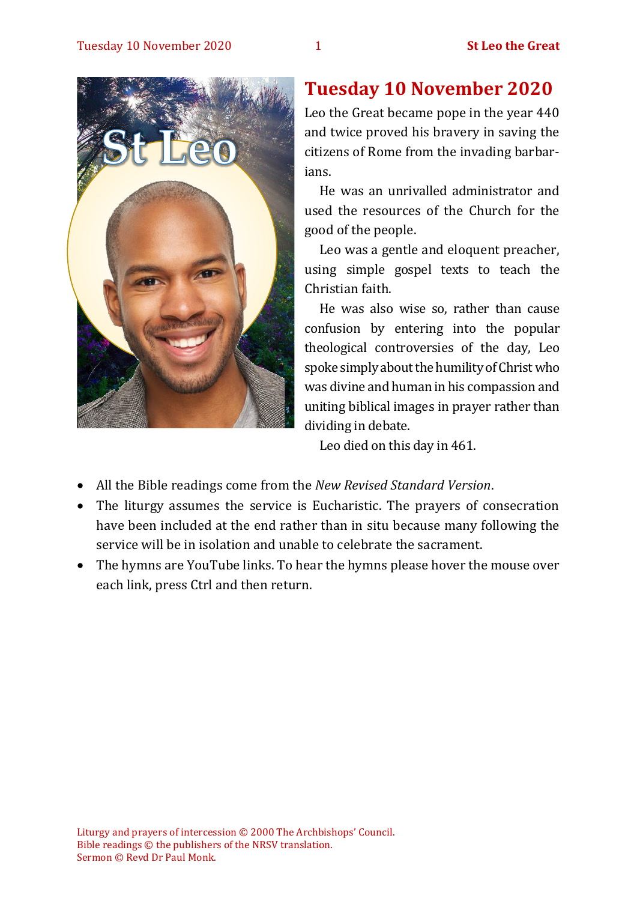

# **Tuesday 10 November 2020**

Leo the Great became pope in the year 440 and twice proved his bravery in saving the citizens of Rome from the invading barbarians.

He was an unrivalled administrator and used the resources of the Church for the good of the people.

Leo was a gentle and eloquent preacher, using simple gospel texts to teach the Christian faith.

He was also wise so, rather than cause confusion by entering into the popular theological controversies of the day, Leo spoke simply about the humility of Christ who was divine and human in his compassion and uniting biblical images in prayer rather than dividing in debate.

Leo died on this day in 461.

- All the Bible readings come from the *New Revised Standard Version*.
- The liturgy assumes the service is Eucharistic. The prayers of consecration have been included at the end rather than in situ because many following the service will be in isolation and unable to celebrate the sacrament.
- The hymns are YouTube links. To hear the hymns please hover the mouse over each link, press Ctrl and then return.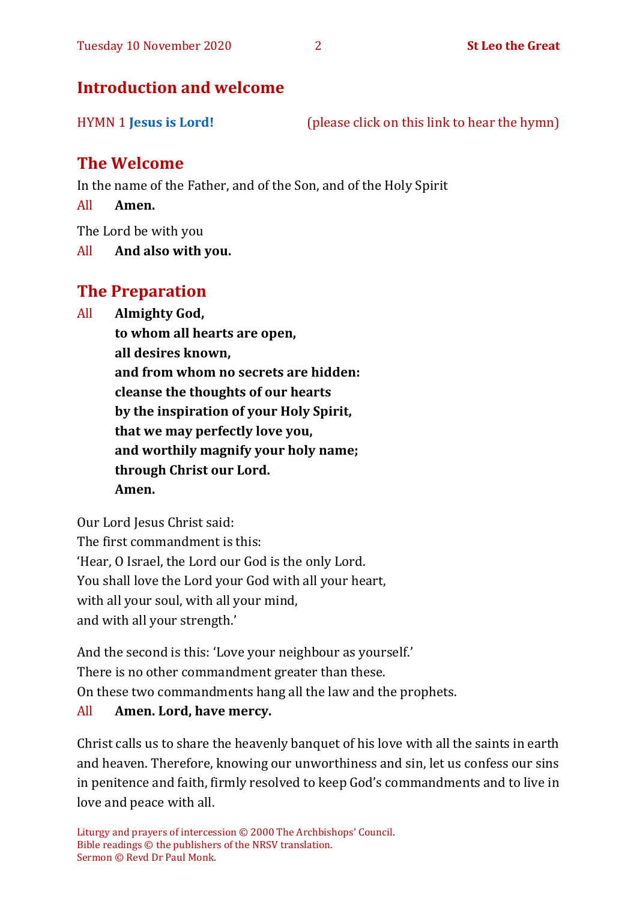## **Introduction and welcome**

HYMN 1 **[Jesus is Lord!](https://www.youtube.com/watch?v=S0WhXslQGMQ)** (please click on this link to hear the hymn)

## **The Welcome**

In the name of the Father, and of the Son, and of the Holy Spirit

All **Amen.**

The Lord be with you

All **And also with you.**

## **The Preparation**

All **Almighty God,**

**to whom all hearts are open, all desires known, and from whom no secrets are hidden: cleanse the thoughts of our hearts by the inspiration of your Holy Spirit, that we may perfectly love you, and worthily magnify your holy name; through Christ our Lord. Amen.**

Our Lord Jesus Christ said: The first commandment is this: 'Hear, O Israel, the Lord our God is the only Lord. You shall love the Lord your God with all your heart, with all your soul, with all your mind, and with all your strength.'

And the second is this: 'Love your neighbour as yourself.' There is no other commandment greater than these. On these two commandments hang all the law and the prophets. All **Amen. Lord, have mercy.**

Christ calls us to share the heavenly banquet of his love with all the saints in earth and heaven. Therefore, knowing our unworthiness and sin, let us confess our sins in penitence and faith, firmly resolved to keep God's commandments and to live in love and peace with all.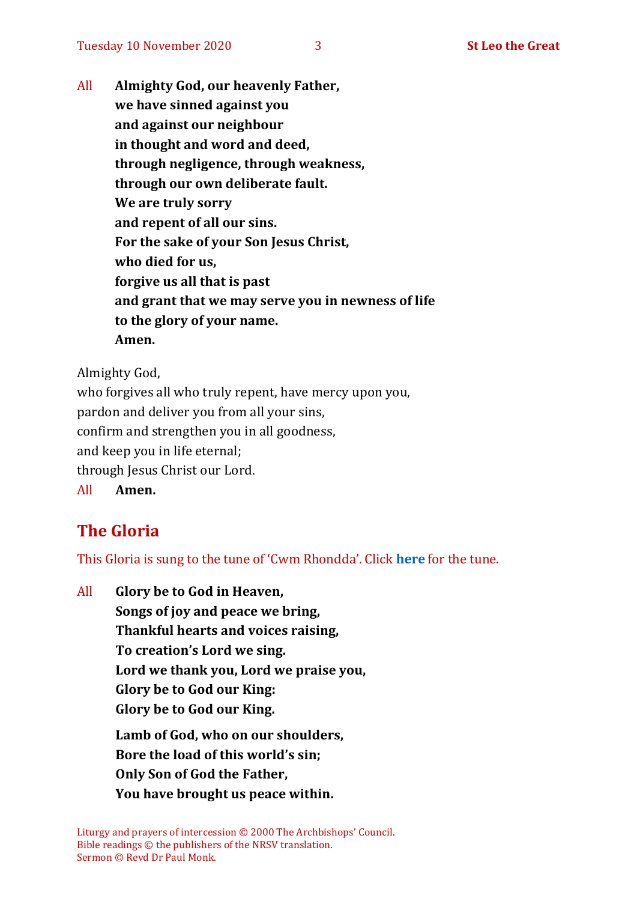All **Almighty God, our heavenly Father, we have sinned against you and against our neighbour in thought and word and deed, through negligence, through weakness, through our own deliberate fault. We are truly sorry and repent of all our sins. For the sake of your Son Jesus Christ, who died for us, forgive us all that is past and grant that we may serve you in newness of life to the glory of your name. Amen.**

Almighty God,

who forgives all who truly repent, have mercy upon you, pardon and deliver you from all your sins, confirm and strengthen you in all goodness, and keep you in life eternal; through Jesus Christ our Lord. All **Amen.**

## **The Gloria**

This Gloria is sung to the tune of 'Cwm Rhondda'. Click **[here](about:blank)** for the tune.

All **Glory be to God in Heaven, Songs of joy and peace we bring, Thankful hearts and voices raising, To creation's Lord we sing. Lord we thank you, Lord we praise you, Glory be to God our King: Glory be to God our King. Lamb of God, who on our shoulders, Bore the load of this world's sin; Only Son of God the Father, You have brought us peace within.**

Liturgy and prayers of intercession © 2000 The Archbishops' Council. Bible readings © the publishers of the NRSV translation. Sermon © Revd Dr Paul Monk.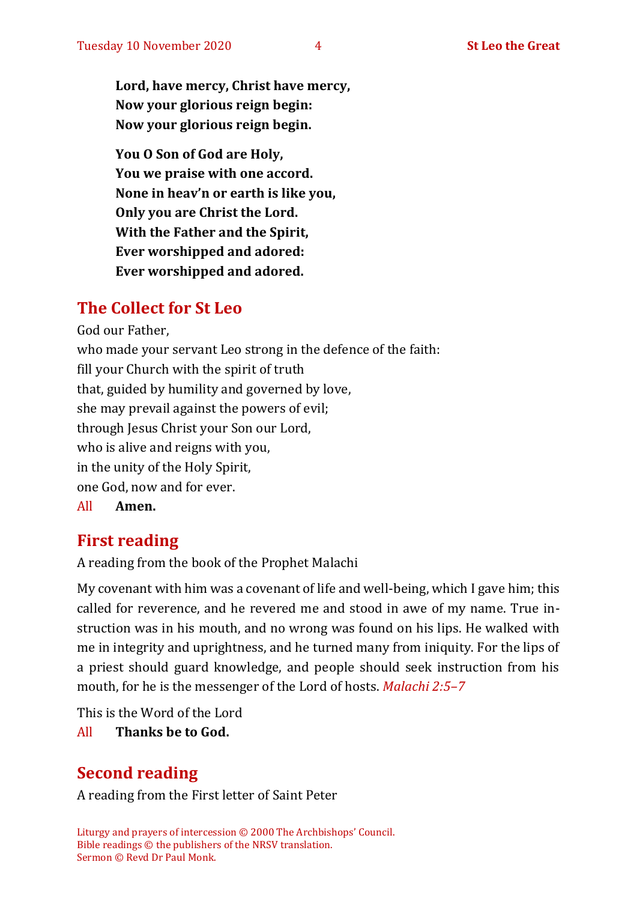**Lord, have mercy, Christ have mercy, Now your glorious reign begin: Now your glorious reign begin.**

**You O Son of God are Holy, You we praise with one accord. None in heav'n or earth is like you, Only you are Christ the Lord. With the Father and the Spirit, Ever worshipped and adored: Ever worshipped and adored.**

## **The Collect for St Leo**

God our Father,

who made your servant Leo strong in the defence of the faith: fill your Church with the spirit of truth that, guided by humility and governed by love, she may prevail against the powers of evil; through Jesus Christ your Son our Lord, who is alive and reigns with you, in the unity of the Holy Spirit, one God, now and for ever.

All **Amen.**

## **First reading**

A reading from the book of the Prophet Malachi

My covenant with him was a covenant of life and well-being, which I gave him; this called for reverence, and he revered me and stood in awe of my name. True instruction was in his mouth, and no wrong was found on his lips. He walked with me in integrity and uprightness, and he turned many from iniquity. For the lips of a priest should guard knowledge, and people should seek instruction from his mouth, for he is the messenger of the Lord of hosts. *Malachi 2:5–7*

This is the Word of the Lord

All **Thanks be to God.**

## **Second reading**

A reading from the First letter of Saint Peter

Liturgy and prayers of intercession © 2000 The Archbishops' Council. Bible readings © the publishers of the NRSV translation. Sermon © Revd Dr Paul Monk.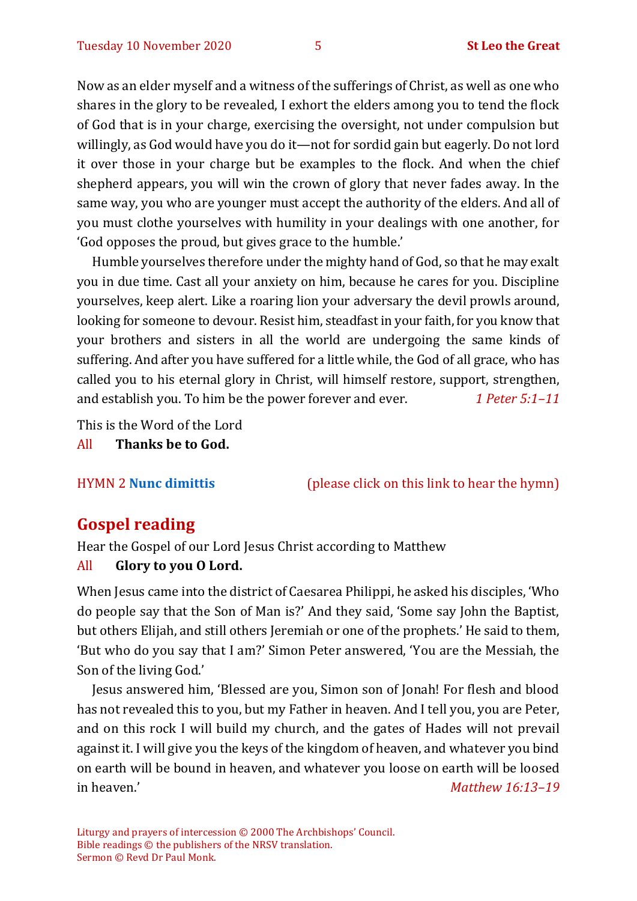Now as an elder myself and a witness of the sufferings of Christ, as well as one who shares in the glory to be revealed, I exhort the elders among you to tend the flock of God that is in your charge, exercising the oversight, not under compulsion but willingly, as God would have you do it—not for sordid gain but eagerly. Do not lord it over those in your charge but be examples to the flock. And when the chief shepherd appears, you will win the crown of glory that never fades away. In the same way, you who are younger must accept the authority of the elders. And all of you must clothe yourselves with humility in your dealings with one another, for 'God opposes the proud, but gives grace to the humble.'

Humble yourselves therefore under the mighty hand of God, so that he may exalt you in due time. Cast all your anxiety on him, because he cares for you. Discipline yourselves, keep alert. Like a roaring lion your adversary the devil prowls around, looking for someone to devour. Resist him, steadfast in your faith, for you know that your brothers and sisters in all the world are undergoing the same kinds of suffering. And after you have suffered for a little while, the God of all grace, who has called you to his eternal glory in Christ, will himself restore, support, strengthen, and establish you. To him be the power forever and ever. *1 Peter 5:1–11*

This is the Word of the Lord

#### All **Thanks be to God.**

HYMN 2 **[Nunc dimittis](https://www.youtube.com/watch?v=RqpIN73xjow)** (please click on this link to hear the hymn)

## **Gospel reading**

Hear the Gospel of our Lord Jesus Christ according to Matthew

#### All **Glory to you O Lord.**

When Jesus came into the district of Caesarea Philippi, he asked his disciples, 'Who do people say that the Son of Man is?' And they said, 'Some say John the Baptist, but others Elijah, and still others Jeremiah or one of the prophets.' He said to them, 'But who do you say that I am?' Simon Peter answered, 'You are the Messiah, the Son of the living God.'

Jesus answered him, 'Blessed are you, Simon son of Jonah! For flesh and blood has not revealed this to you, but my Father in heaven. And I tell you, you are Peter, and on this rock I will build my church, and the gates of Hades will not prevail against it. I will give you the keys of the kingdom of heaven, and whatever you bind on earth will be bound in heaven, and whatever you loose on earth will be loosed in heaven.' *Matthew 16:13–19*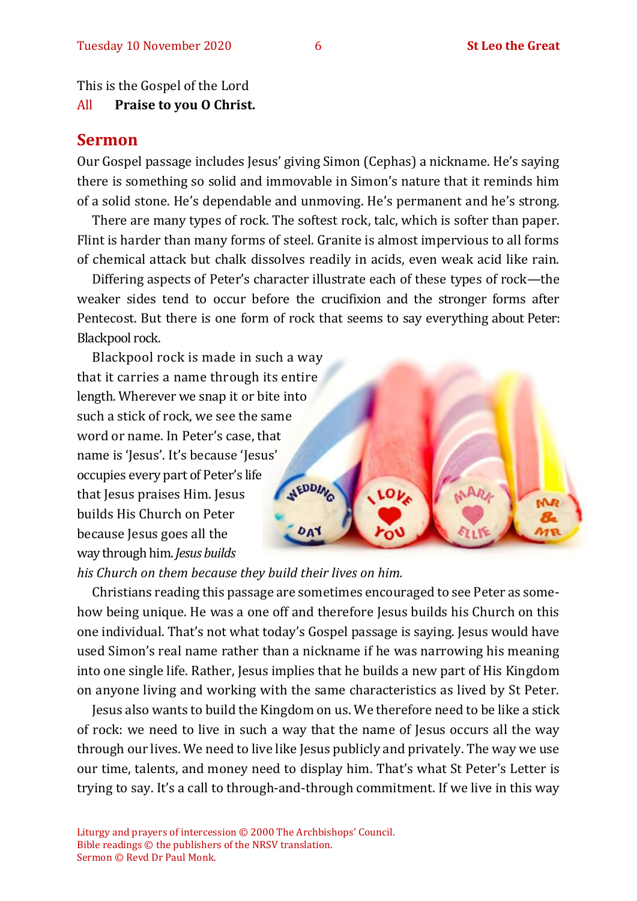This is the Gospel of the Lord

All **Praise to you O Christ.** 

### **Sermon**

Our Gospel passage includes Jesus' giving Simon (Cephas) a nickname. He's saying there is something so solid and immovable in Simon's nature that it reminds him of a solid stone. He's dependable and unmoving. He's permanent and he's strong.

There are many types of rock. The softest rock, talc, which is softer than paper. Flint is harder than many forms of steel. Granite is almost impervious to all forms of chemical attack but chalk dissolves readily in acids, even weak acid like rain.

Differing aspects of Peter's character illustrate each of these types of rock—the weaker sides tend to occur before the crucifixion and the stronger forms after Pentecost. But there is one form of rock that seems to say everything about Peter: Blackpool rock.

Blackpool rock is made in such a way that it carries a name through its entire length. Wherever we snap it or bite into such a stick of rock, we see the same word or name. In Peter's case, that name is 'Jesus'. It's because 'Jesus' occupies every part of Peter's life EDDIN that Jesus praises Him. Jesus builds His Church on Peter because Jesus goes all the way through him.*Jesus builds* 



*his Church on them because they build their lives on him.*

Christians reading this passage are sometimes encouraged to see Peter as somehow being unique. He was a one off and therefore Jesus builds his Church on this one individual. That's not what today's Gospel passage is saying. Jesus would have used Simon's real name rather than a nickname if he was narrowing his meaning into one single life. Rather, Jesus implies that he builds a new part of His Kingdom on anyone living and working with the same characteristics as lived by St Peter.

Jesus also wants to build the Kingdom on us. We therefore need to be like a stick of rock: we need to live in such a way that the name of Jesus occurs all the way through our lives. We need to live like Jesus publicly and privately. The way we use our time, talents, and money need to display him. That's what St Peter's Letter is trying to say. It's a call to through-and-through commitment. If we live in this way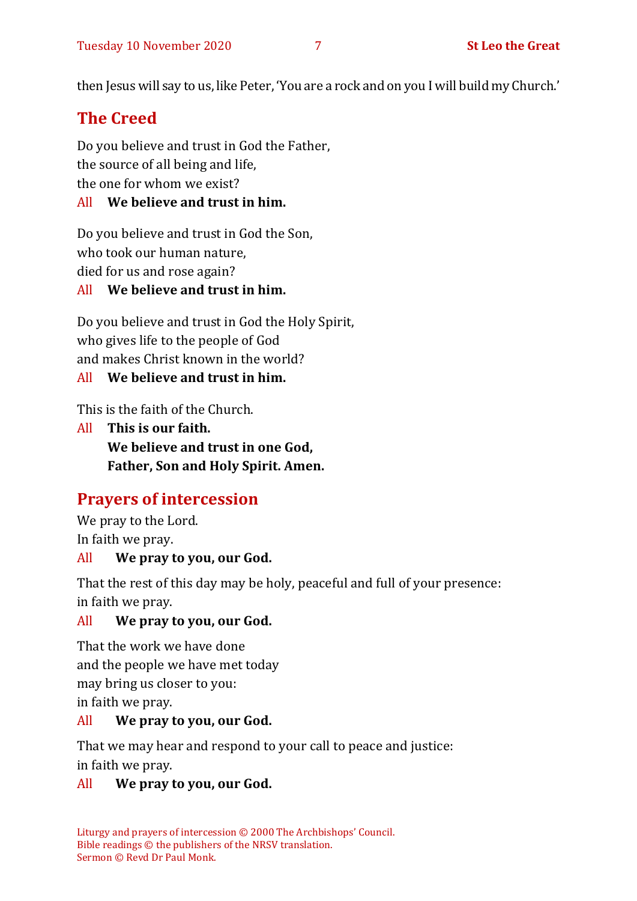then Jesus will say to us, like Peter, 'You are a rock and on you I will build my Church.'

# **The Creed**

Do you believe and trust in God the Father, the source of all being and life, the one for whom we exist?

### All **We believe and trust in him.**

Do you believe and trust in God the Son, who took our human nature, died for us and rose again?

#### All **We believe and trust in him.**

Do you believe and trust in God the Holy Spirit, who gives life to the people of God and makes Christ known in the world?

#### All **We believe and trust in him.**

This is the faith of the Church.

All **This is our faith. We believe and trust in one God, Father, Son and Holy Spirit. Amen.**

# **Prayers of intercession**

We pray to the Lord. In faith we pray.

#### All **We pray to you, our God.**

That the rest of this day may be holy, peaceful and full of your presence: in faith we pray.

#### All **We pray to you, our God.**

That the work we have done and the people we have met today may bring us closer to you: in faith we pray.

#### All **We pray to you, our God.**

That we may hear and respond to your call to peace and justice:

in faith we pray.

#### All **We pray to you, our God.**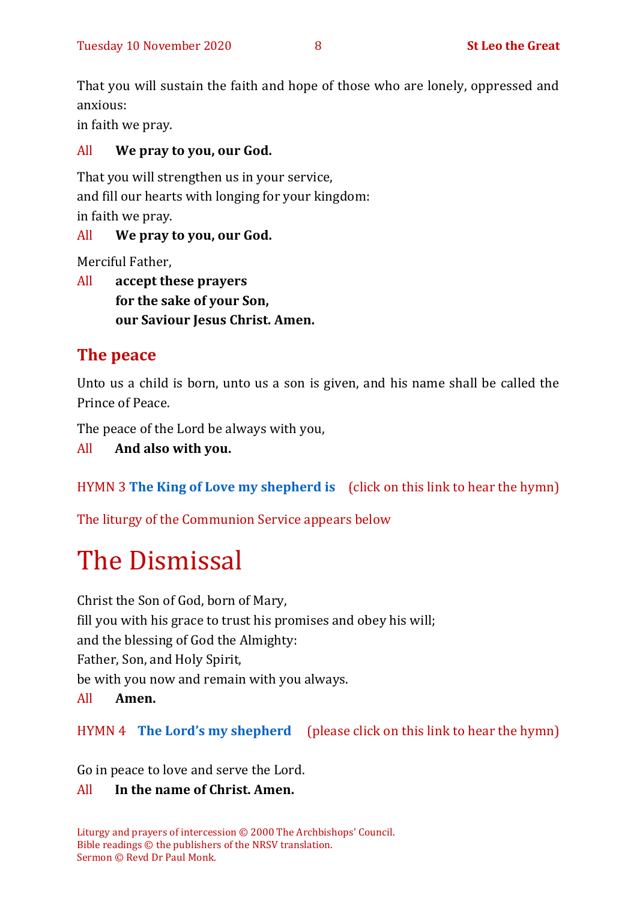That you will sustain the faith and hope of those who are lonely, oppressed and anxious:

in faith we pray.

#### All **We pray to you, our God.**

That you will strengthen us in your service, and fill our hearts with longing for your kingdom: in faith we pray.

#### All **We pray to you, our God.**

Merciful Father,

All **accept these prayers for the sake of your Son, our Saviour Jesus Christ. Amen.**

## **The peace**

Unto us a child is born, unto us a son is given, and his name shall be called the Prince of Peace.

The peace of the Lord be always with you,

All **And also with you.**

HYMN 3 **[The King of Love my shepherd is](https://www.youtube.com/watch?v=b3GFVW6m9Qo)** (click on this link to hear the hymn)

The liturgy of the Communion Service appears below

# The Dismissal

Christ the Son of God, born of Mary, fill you with his grace to trust his promises and obey his will; and the blessing of God the Almighty: Father, Son, and Holy Spirit, be with you now and remain with you always.

All **Amen.**

#### HYMN 4 **[The Lord's my shepherd](https://www.youtube.com/watch?v=IDAIwMvFcXQ)** (please click on this link to hear the hymn)

Go in peace to love and serve the Lord.

#### All **In the name of Christ. Amen.**

Liturgy and prayers of intercession © 2000 The Archbishops' Council. Bible readings © the publishers of the NRSV translation. Sermon © Revd Dr Paul Monk.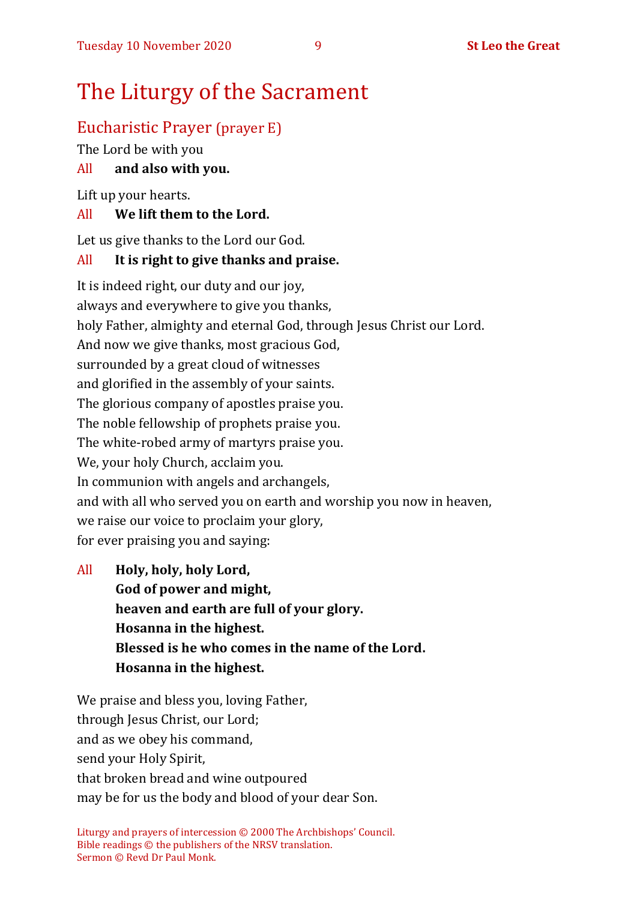# The Liturgy of the Sacrament

## Eucharistic Prayer (prayer E)

The Lord be with you

### All **and also with you.**

Lift up your hearts.

### All **We lift them to the Lord.**

Let us give thanks to the Lord our God.

#### All **It is right to give thanks and praise.**

It is indeed right, our duty and our joy, always and everywhere to give you thanks, holy Father, almighty and eternal God, through Jesus Christ our Lord. And now we give thanks, most gracious God, surrounded by a great cloud of witnesses and glorified in the assembly of your saints. The glorious company of apostles praise you. The noble fellowship of prophets praise you. The white-robed army of martyrs praise you. We, your holy Church, acclaim you. In communion with angels and archangels, and with all who served you on earth and worship you now in heaven, we raise our voice to proclaim your glory, for ever praising you and saying:

All **Holy, holy, holy Lord, God of power and might, heaven and earth are full of your glory. Hosanna in the highest. Blessed is he who comes in the name of the Lord. Hosanna in the highest.**

We praise and bless you, loving Father, through Jesus Christ, our Lord; and as we obey his command, send your Holy Spirit, that broken bread and wine outpoured may be for us the body and blood of your dear Son.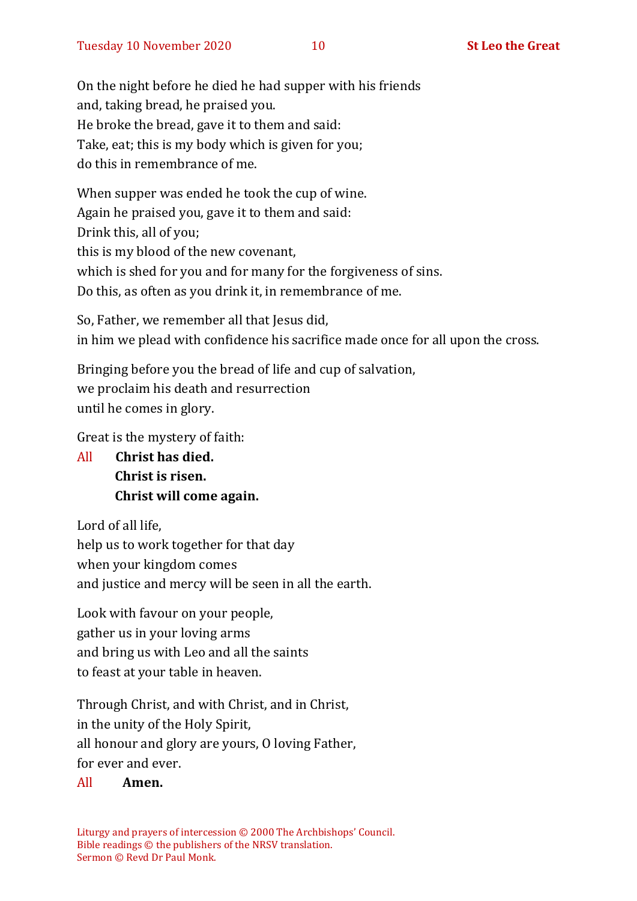On the night before he died he had supper with his friends and, taking bread, he praised you. He broke the bread, gave it to them and said: Take, eat; this is my body which is given for you; do this in remembrance of me.

When supper was ended he took the cup of wine. Again he praised you, gave it to them and said: Drink this, all of you; this is my blood of the new covenant, which is shed for you and for many for the forgiveness of sins. Do this, as often as you drink it, in remembrance of me.

So, Father, we remember all that Jesus did, in him we plead with confidence his sacrifice made once for all upon the cross.

Bringing before you the bread of life and cup of salvation, we proclaim his death and resurrection until he comes in glory.

Great is the mystery of faith:

All **Christ has died. Christ is risen. Christ will come again.**

Lord of all life, help us to work together for that day when your kingdom comes and justice and mercy will be seen in all the earth.

Look with favour on your people, gather us in your loving arms and bring us with Leo and all the saints to feast at your table in heaven.

Through Christ, and with Christ, and in Christ, in the unity of the Holy Spirit, all honour and glory are yours, O loving Father,

for ever and ever.

#### All **Amen.**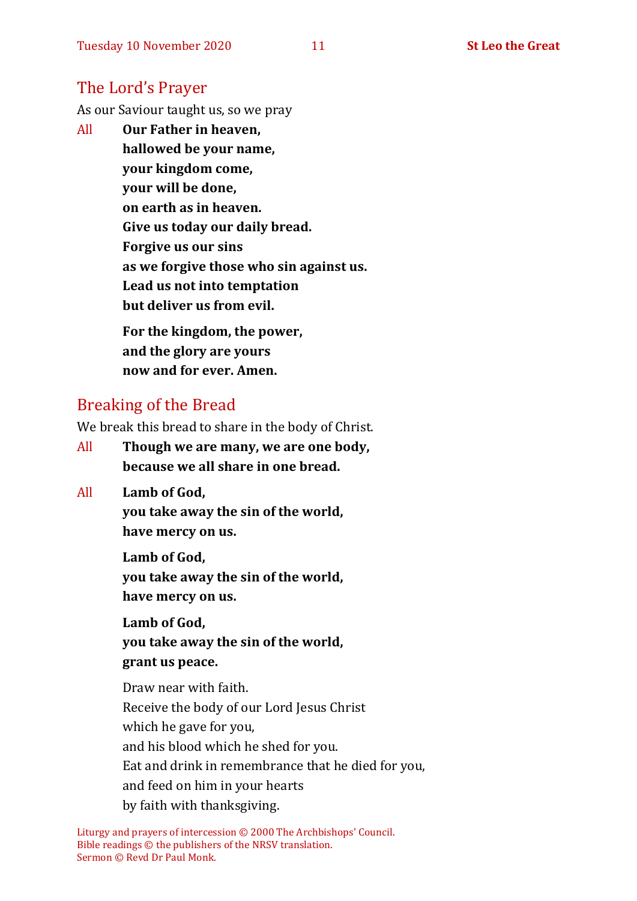# The Lord's Prayer

As our Saviour taught us, so we pray

All **Our Father in heaven, hallowed be your name, your kingdom come, your will be done, on earth as in heaven. Give us today our daily bread. Forgive us our sins as we forgive those who sin against us. Lead us not into temptation but deliver us from evil. For the kingdom, the power,** 

**and the glory are yours now and for ever. Amen.**

# Breaking of the Bread

We break this bread to share in the body of Christ.

- All **Though we are many, we are one body, because we all share in one bread.**
- All **Lamb of God,**

**you take away the sin of the world, have mercy on us.**

**Lamb of God, you take away the sin of the world, have mercy on us.**

**Lamb of God, you take away the sin of the world, grant us peace.**

Draw near with faith. Receive the body of our Lord Jesus Christ which he gave for you, and his blood which he shed for you. Eat and drink in remembrance that he died for you, and feed on him in your hearts by faith with thanksgiving.